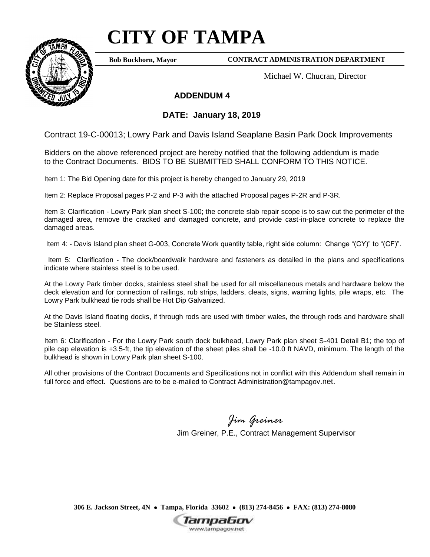## **CITY OF TAMPA**



**Bob Buckhorn, Mayor**

## **CONTRACT ADMINISTRATION DEPARTMENT**

Michael W. Chucran, Director

## **ADDENDUM 4**

## **DATE: January 18, 2019**

Contract 19-C-00013; Lowry Park and Davis Island Seaplane Basin Park Dock Improvements

Bidders on the above referenced project are hereby notified that the following addendum is made to the Contract Documents. BIDS TO BE SUBMITTED SHALL CONFORM TO THIS NOTICE.

Item 1: The Bid Opening date for this project is hereby changed to January 29, 2019

Item 2: Replace Proposal pages P-2 and P-3 with the attached Proposal pages P-2R and P-3R.

Item 3: Clarification - Lowry Park plan sheet S-100; the concrete slab repair scope is to saw cut the perimeter of the damaged area, remove the cracked and damaged concrete, and provide cast-in-place concrete to replace the damaged areas.

Item 4: - Davis Island plan sheet G-003, Concrete Work quantity table, right side column: Change "(CY)" to "(CF)".

 Item 5: Clarification - The dock/boardwalk hardware and fasteners as detailed in the plans and specifications indicate where stainless steel is to be used.

At the Lowry Park timber docks, stainless steel shall be used for all miscellaneous metals and hardware below the deck elevation and for connection of railings, rub strips, ladders, cleats, signs, warning lights, pile wraps, etc. The Lowry Park bulkhead tie rods shall be Hot Dip Galvanized.

At the Davis Island floating docks, if through rods are used with timber wales, the through rods and hardware shall be Stainless steel.

Item 6: Clarification - For the Lowry Park south dock bulkhead, Lowry Park plan sheet S-401 Detail B1; the top of pile cap elevation is +3.5-ft, the tip elevation of the sheet piles shall be -10.0 ft NAVD, minimum. The length of the bulkhead is shown in Lowry Park plan sheet S-100.

All other provisions of the Contract Documents and Specifications not in conflict with this Addendum shall remain in full force and effect. Questions are to be e-mailed to Contract Administration@tampagov.net.

*Jim Greiner*

Jim Greiner, P.E., Contract Management Supervisor

**306 E. Jackson Street, 4N Tampa, Florida 33602 (813) 274-8456 FAX: (813) 274-8080**

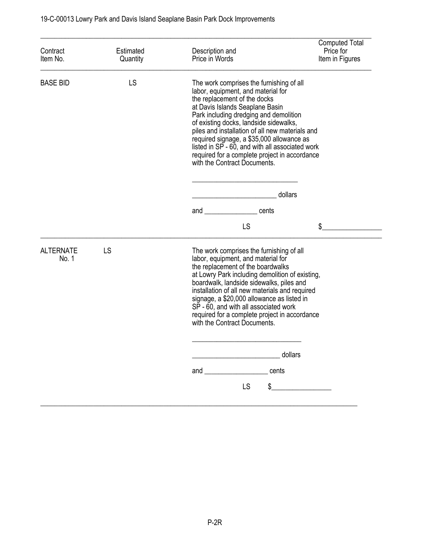| Contract<br>Item No.      | Estimated<br>Quantity | Description and<br>Price in Words                                                                                                                                                                                                                                                                                                                                                                                                                                                    | <b>Computed Total</b><br>Price for<br>Item in Figures |
|---------------------------|-----------------------|--------------------------------------------------------------------------------------------------------------------------------------------------------------------------------------------------------------------------------------------------------------------------------------------------------------------------------------------------------------------------------------------------------------------------------------------------------------------------------------|-------------------------------------------------------|
| <b>BASE BID</b>           | LS                    | The work comprises the furnishing of all<br>labor, equipment, and material for<br>the replacement of the docks<br>at Davis Islands Seaplane Basin<br>Park including dredging and demolition<br>of existing docks, landside sidewalks,<br>piles and installation of all new materials and<br>required signage, a \$35,000 allowance as<br>listed in SP - 60, and with all associated work<br>required for a complete project in accordance<br>with the Contract Documents.<br>dollars |                                                       |
|                           |                       |                                                                                                                                                                                                                                                                                                                                                                                                                                                                                      |                                                       |
|                           |                       | and cents                                                                                                                                                                                                                                                                                                                                                                                                                                                                            |                                                       |
|                           |                       | LS                                                                                                                                                                                                                                                                                                                                                                                                                                                                                   | \$                                                    |
| <b>ALTERNATE</b><br>No. 1 | LS                    | The work comprises the furnishing of all<br>labor, equipment, and material for<br>the replacement of the boardwalks<br>at Lowry Park including demolition of existing,<br>boardwalk, landside sidewalks, piles and<br>installation of all new materials and required<br>signage, a \$20,000 allowance as listed in<br>SP - 60, and with all associated work<br>required for a complete project in accordance<br>with the Contract Documents.                                         |                                                       |
|                           |                       | dollars<br><u> 1989 - Johann Barbara, martxa a</u>                                                                                                                                                                                                                                                                                                                                                                                                                                   |                                                       |
|                           |                       | cents<br>and the contract of the contract of the contract of the contract of the contract of the contract of the contract of the contract of the contract of the contract of the contract of the contract of the contract of the contra                                                                                                                                                                                                                                              |                                                       |
|                           |                       | <b>LS</b><br>\$                                                                                                                                                                                                                                                                                                                                                                                                                                                                      |                                                       |
|                           |                       |                                                                                                                                                                                                                                                                                                                                                                                                                                                                                      |                                                       |

\_\_\_\_\_\_\_\_\_\_\_\_\_\_\_\_\_\_\_\_\_\_\_\_\_\_\_\_\_\_\_\_\_\_\_\_\_\_\_\_\_\_\_\_\_\_\_\_\_\_\_\_\_\_\_\_\_\_\_\_\_\_\_\_\_\_\_\_\_\_\_\_\_\_\_\_\_\_\_\_\_\_\_\_\_\_\_\_\_\_\_\_\_\_